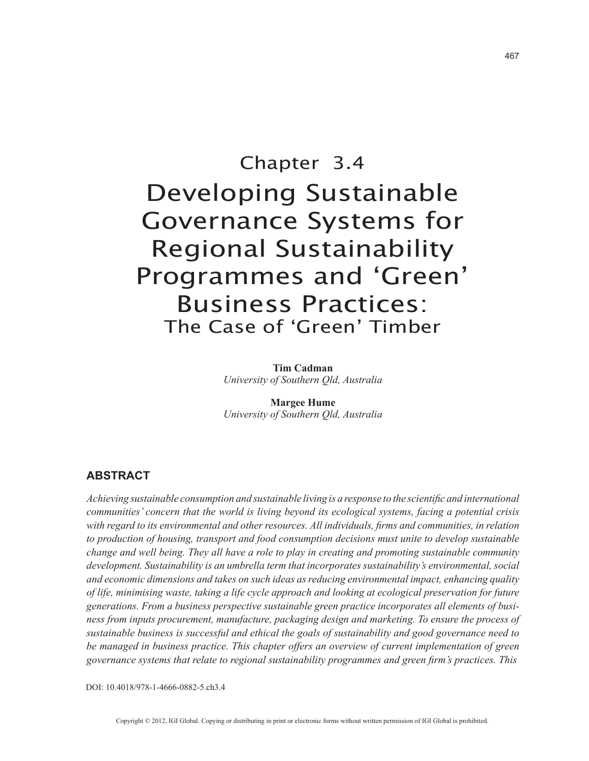# Chapter 3.4 Developing Sustainable Governance Systems for Regional Sustainability Programmes and 'Green' Business Practices: The Case of 'Green' Timber

**Tim Cadman** *University of Southern Qld, Australia*

**Margee Hume** *University of Southern Qld, Australia*

## **ABSTRACT**

*Achieving sustainable consumption and sustainable living is a response to the scientific and international communities' concern that the world is living beyond its ecological systems, facing a potential crisis with regard to its environmental and other resources. All individuals, firms and communities, in relation to production of housing, transport and food consumption decisions must unite to develop sustainable change and well being. They all have a role to play in creating and promoting sustainable community development. Sustainability is an umbrella term that incorporates sustainability's environmental, social and economic dimensions and takes on such ideas as reducing environmental impact, enhancing quality of life, minimising waste, taking a life cycle approach and looking at ecological preservation for future generations. From a business perspective sustainable green practice incorporates all elements of business from inputs procurement, manufacture, packaging design and marketing. To ensure the process of sustainable business is successful and ethical the goals of sustainability and good governance need to be managed in business practice. This chapter offers an overview of current implementation of green governance systems that relate to regional sustainability programmes and green firm's practices. This* 

DOI: 10.4018/978-1-4666-0882-5.ch3.4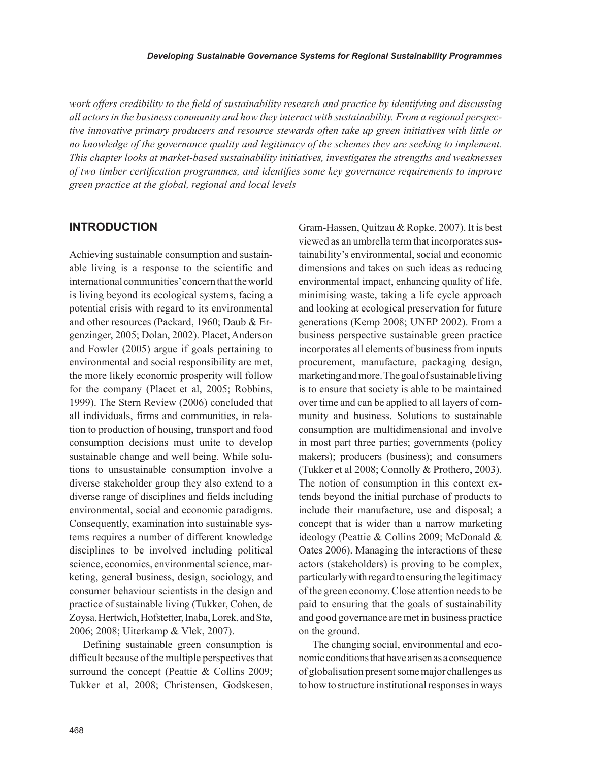*work offers credibility to the field of sustainability research and practice by identifying and discussing all actors in the business community and how they interact with sustainability. From a regional perspective innovative primary producers and resource stewards often take up green initiatives with little or no knowledge of the governance quality and legitimacy of the schemes they are seeking to implement. This chapter looks at market-based sustainability initiatives, investigates the strengths and weaknesses of two timber certification programmes, and identifies some key governance requirements to improve green practice at the global, regional and local levels*

#### **INTRODUCTION**

Achieving sustainable consumption and sustainable living is a response to the scientific and international communities' concern that the world is living beyond its ecological systems, facing a potential crisis with regard to its environmental and other resources (Packard, 1960; Daub & Ergenzinger, 2005; Dolan, 2002). Placet, Anderson and Fowler (2005) argue if goals pertaining to environmental and social responsibility are met, the more likely economic prosperity will follow for the company (Placet et al, 2005; Robbins, 1999). The Stern Review (2006) concluded that all individuals, firms and communities, in relation to production of housing, transport and food consumption decisions must unite to develop sustainable change and well being. While solutions to unsustainable consumption involve a diverse stakeholder group they also extend to a diverse range of disciplines and fields including environmental, social and economic paradigms. Consequently, examination into sustainable systems requires a number of different knowledge disciplines to be involved including political science, economics, environmental science, marketing, general business, design, sociology, and consumer behaviour scientists in the design and practice of sustainable living (Tukker, Cohen, de Zoysa, Hertwich, Hofstetter, Inaba, Lorek, and Stø, 2006; 2008; Uiterkamp & Vlek, 2007).

Defining sustainable green consumption is difficult because of the multiple perspectives that surround the concept (Peattie & Collins 2009; Tukker et al, 2008; Christensen, Godskesen, Gram-Hassen, Quitzau & Ropke, 2007). It is best viewed as an umbrella term that incorporates sustainability's environmental, social and economic dimensions and takes on such ideas as reducing environmental impact, enhancing quality of life, minimising waste, taking a life cycle approach and looking at ecological preservation for future generations (Kemp 2008; UNEP 2002). From a business perspective sustainable green practice incorporates all elements of business from inputs procurement, manufacture, packaging design, marketing and more. The goal of sustainable living is to ensure that society is able to be maintained over time and can be applied to all layers of community and business. Solutions to sustainable consumption are multidimensional and involve in most part three parties; governments (policy makers); producers (business); and consumers (Tukker et al 2008; Connolly & Prothero, 2003). The notion of consumption in this context extends beyond the initial purchase of products to include their manufacture, use and disposal; a concept that is wider than a narrow marketing ideology (Peattie & Collins 2009; McDonald & Oates 2006). Managing the interactions of these actors (stakeholders) is proving to be complex, particularly with regard to ensuring the legitimacy of the green economy. Close attention needs to be paid to ensuring that the goals of sustainability and good governance are met in business practice on the ground.

The changing social, environmental and economic conditions that have arisen as a consequence of globalisation present some major challenges as to how to structure institutional responses in ways